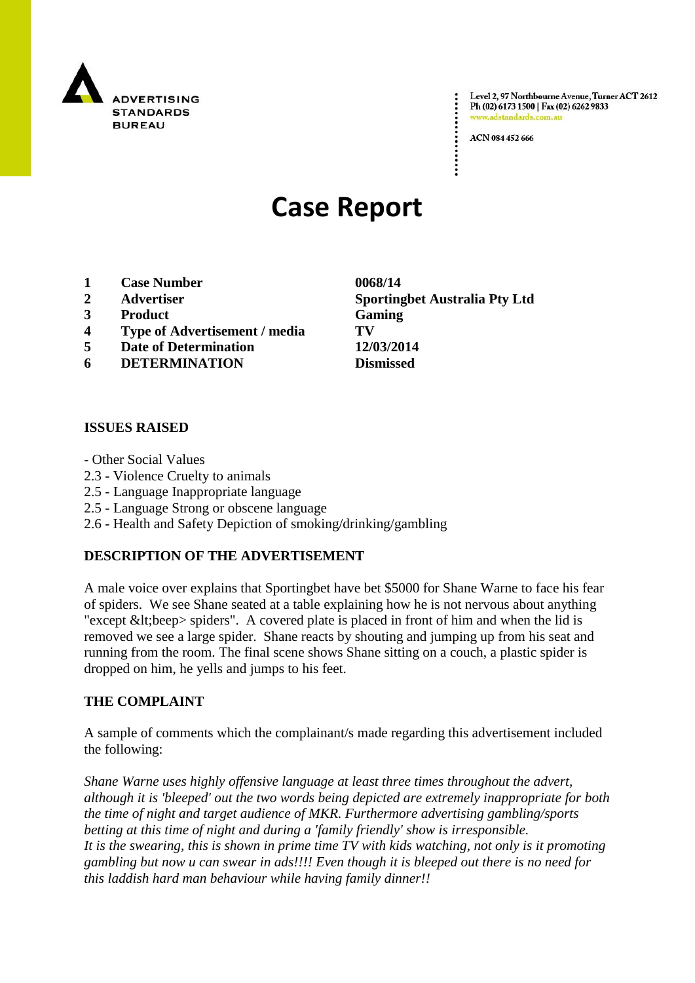

Level 2, 97 Northbourne Avenue, Turner ACT 2612 Ph (02) 6173 1500 | Fax (02) 6262 9833 www.adstandards.c

ACN 084 452 666

# **Case Report**

- **1 Case Number 0068/14**
- 
- **3 Product Gaming**
- **4 Type of Advertisement / media TV**
- **5 Date of Determination 12/03/2014**
- **6 DETERMINATION Dismissed**

# **ISSUES RAISED**

- Other Social Values
- 2.3 Violence Cruelty to animals
- 2.5 Language Inappropriate language
- 2.5 Language Strong or obscene language
- 2.6 Health and Safety Depiction of smoking/drinking/gambling

# **DESCRIPTION OF THE ADVERTISEMENT**

A male voice over explains that Sportingbet have bet \$5000 for Shane Warne to face his fear of spiders. We see Shane seated at a table explaining how he is not nervous about anything "except  $<$  lt; beep > spiders". A covered plate is placed in front of him and when the lid is removed we see a large spider. Shane reacts by shouting and jumping up from his seat and running from the room. The final scene shows Shane sitting on a couch, a plastic spider is dropped on him, he yells and jumps to his feet.

#### **THE COMPLAINT**

A sample of comments which the complainant/s made regarding this advertisement included the following:

*Shane Warne uses highly offensive language at least three times throughout the advert, although it is 'bleeped' out the two words being depicted are extremely inappropriate for both the time of night and target audience of MKR. Furthermore advertising gambling/sports betting at this time of night and during a 'family friendly' show is irresponsible. It is the swearing, this is shown in prime time TV with kids watching, not only is it promoting gambling but now u can swear in ads!!!! Even though it is bleeped out there is no need for this laddish hard man behaviour while having family dinner!!*

**2 Advertiser Sportingbet Australia Pty Ltd**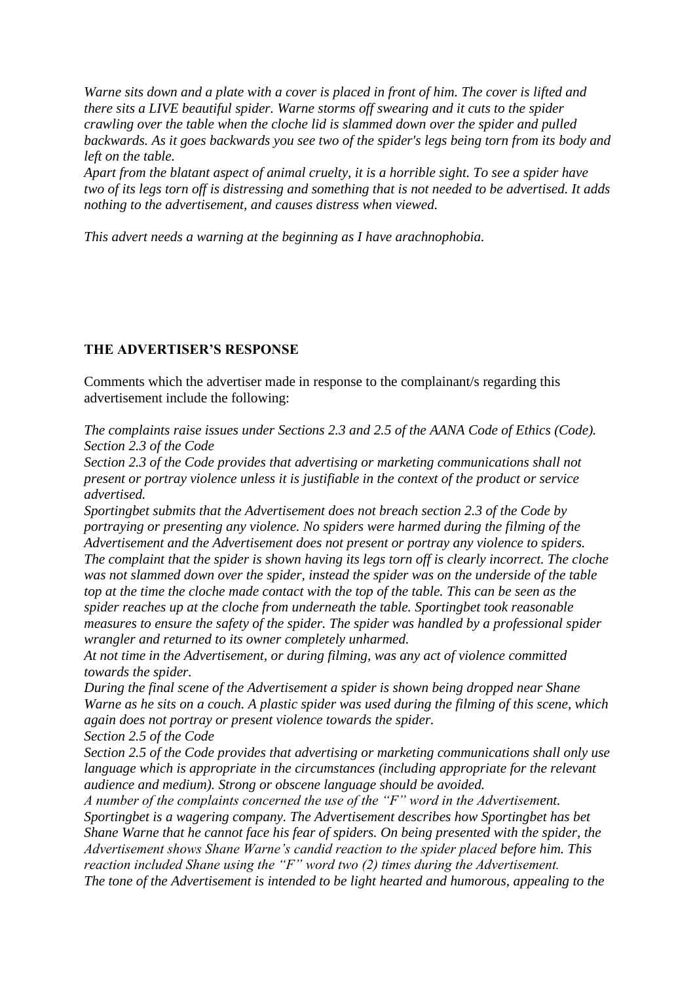*Warne sits down and a plate with a cover is placed in front of him. The cover is lifted and there sits a LIVE beautiful spider. Warne storms off swearing and it cuts to the spider crawling over the table when the cloche lid is slammed down over the spider and pulled backwards. As it goes backwards you see two of the spider's legs being torn from its body and left on the table.*

*Apart from the blatant aspect of animal cruelty, it is a horrible sight. To see a spider have two of its legs torn off is distressing and something that is not needed to be advertised. It adds nothing to the advertisement, and causes distress when viewed.*

*This advert needs a warning at the beginning as I have arachnophobia.*

# **THE ADVERTISER'S RESPONSE**

Comments which the advertiser made in response to the complainant/s regarding this advertisement include the following:

*The complaints raise issues under Sections 2.3 and 2.5 of the AANA Code of Ethics (Code). Section 2.3 of the Code*

*Section 2.3 of the Code provides that advertising or marketing communications shall not present or portray violence unless it is justifiable in the context of the product or service advertised.*

*Sportingbet submits that the Advertisement does not breach section 2.3 of the Code by portraying or presenting any violence. No spiders were harmed during the filming of the Advertisement and the Advertisement does not present or portray any violence to spiders. The complaint that the spider is shown having its legs torn off is clearly incorrect. The cloche was not slammed down over the spider, instead the spider was on the underside of the table top at the time the cloche made contact with the top of the table. This can be seen as the spider reaches up at the cloche from underneath the table. Sportingbet took reasonable measures to ensure the safety of the spider. The spider was handled by a professional spider wrangler and returned to its owner completely unharmed.*

*At not time in the Advertisement, or during filming, was any act of violence committed towards the spider.*

*During the final scene of the Advertisement a spider is shown being dropped near Shane Warne as he sits on a couch. A plastic spider was used during the filming of this scene, which again does not portray or present violence towards the spider. Section 2.5 of the Code*

*Section 2.5 of the Code provides that advertising or marketing communications shall only use language which is appropriate in the circumstances (including appropriate for the relevant audience and medium). Strong or obscene language should be avoided.*

*A number of the complaints concerned the use of the "F" word in the Advertisement. Sportingbet is a wagering company. The Advertisement describes how Sportingbet has bet Shane Warne that he cannot face his fear of spiders. On being presented with the spider, the Advertisement shows Shane Warne's candid reaction to the spider placed before him. This reaction included Shane using the "F" word two (2) times during the Advertisement. The tone of the Advertisement is intended to be light hearted and humorous, appealing to the*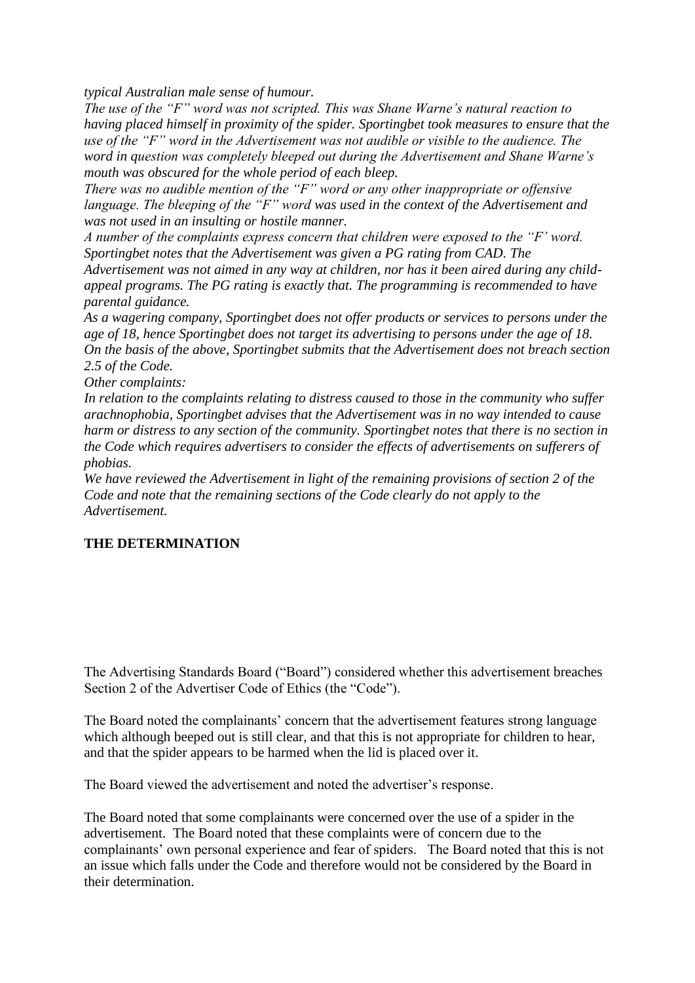*typical Australian male sense of humour.*

*The use of the "F" word was not scripted. This was Shane Warne's natural reaction to having placed himself in proximity of the spider. Sportingbet took measures to ensure that the use of the "F" word in the Advertisement was not audible or visible to the audience. The word in question was completely bleeped out during the Advertisement and Shane Warne's mouth was obscured for the whole period of each bleep.*

*There was no audible mention of the "F" word or any other inappropriate or offensive language. The bleeping of the "F" word was used in the context of the Advertisement and was not used in an insulting or hostile manner.*

*A number of the complaints express concern that children were exposed to the "F' word. Sportingbet notes that the Advertisement was given a PG rating from CAD. The Advertisement was not aimed in any way at children, nor has it been aired during any childappeal programs. The PG rating is exactly that. The programming is recommended to have parental guidance.*

*As a wagering company, Sportingbet does not offer products or services to persons under the age of 18, hence Sportingbet does not target its advertising to persons under the age of 18. On the basis of the above, Sportingbet submits that the Advertisement does not breach section 2.5 of the Code.*

*Other complaints:*

*In relation to the complaints relating to distress caused to those in the community who suffer arachnophobia, Sportingbet advises that the Advertisement was in no way intended to cause harm or distress to any section of the community. Sportingbet notes that there is no section in the Code which requires advertisers to consider the effects of advertisements on sufferers of phobias.*

*We have reviewed the Advertisement in light of the remaining provisions of section 2 of the Code and note that the remaining sections of the Code clearly do not apply to the Advertisement.*

# **THE DETERMINATION**

The Advertising Standards Board ("Board") considered whether this advertisement breaches Section 2 of the Advertiser Code of Ethics (the "Code").

The Board noted the complainants' concern that the advertisement features strong language which although beeped out is still clear, and that this is not appropriate for children to hear, and that the spider appears to be harmed when the lid is placed over it.

The Board viewed the advertisement and noted the advertiser"s response.

The Board noted that some complainants were concerned over the use of a spider in the advertisement. The Board noted that these complaints were of concern due to the complainants' own personal experience and fear of spiders. The Board noted that this is not an issue which falls under the Code and therefore would not be considered by the Board in their determination.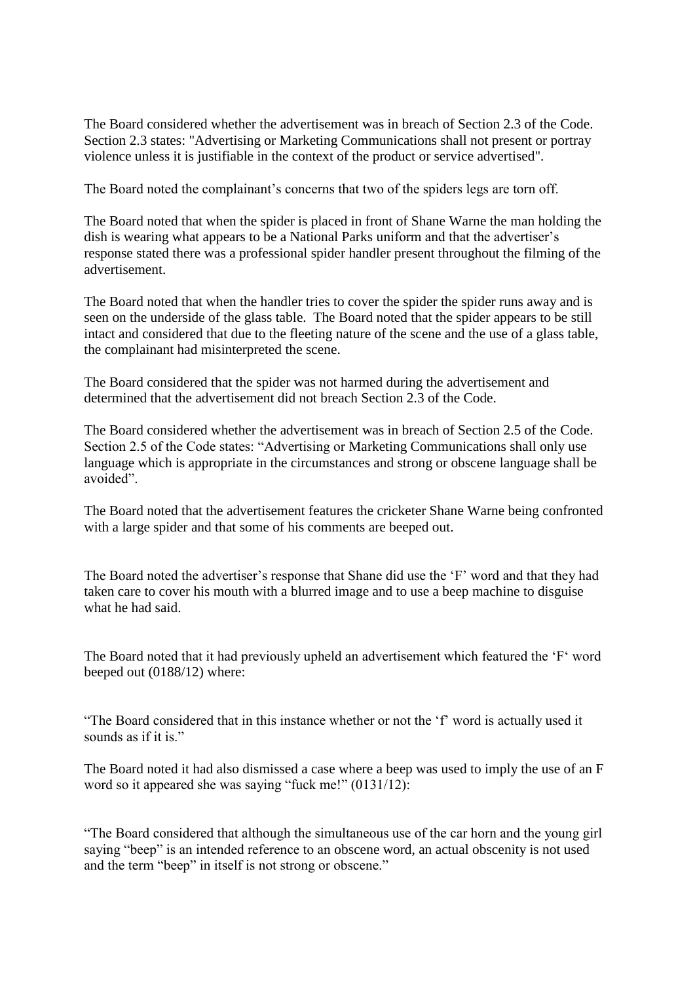The Board considered whether the advertisement was in breach of Section 2.3 of the Code. Section 2.3 states: "Advertising or Marketing Communications shall not present or portray violence unless it is justifiable in the context of the product or service advertised".

The Board noted the complainant's concerns that two of the spiders legs are torn off.

The Board noted that when the spider is placed in front of Shane Warne the man holding the dish is wearing what appears to be a National Parks uniform and that the advertiser's response stated there was a professional spider handler present throughout the filming of the advertisement.

The Board noted that when the handler tries to cover the spider the spider runs away and is seen on the underside of the glass table. The Board noted that the spider appears to be still intact and considered that due to the fleeting nature of the scene and the use of a glass table, the complainant had misinterpreted the scene.

The Board considered that the spider was not harmed during the advertisement and determined that the advertisement did not breach Section 2.3 of the Code.

The Board considered whether the advertisement was in breach of Section 2.5 of the Code. Section 2.5 of the Code states: "Advertising or Marketing Communications shall only use language which is appropriate in the circumstances and strong or obscene language shall be avoided".

The Board noted that the advertisement features the cricketer Shane Warne being confronted with a large spider and that some of his comments are beeped out.

The Board noted the advertiser's response that Shane did use the 'F' word and that they had taken care to cover his mouth with a blurred image and to use a beep machine to disguise what he had said.

The Board noted that it had previously upheld an advertisement which featured the "F" word beeped out (0188/12) where:

"The Board considered that in this instance whether or not the "f" word is actually used it sounds as if it is."

The Board noted it had also dismissed a case where a beep was used to imply the use of an F word so it appeared she was saying "fuck me!" (0131/12):

"The Board considered that although the simultaneous use of the car horn and the young girl saying "beep" is an intended reference to an obscene word, an actual obscenity is not used and the term "beep" in itself is not strong or obscene."